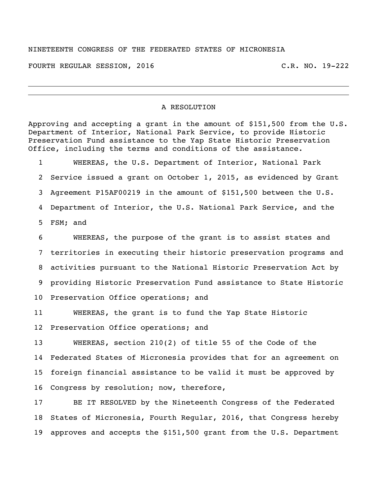## NINETEENTH CONGRESS OF THE FEDERATED STATES OF MICRONESIA

FOURTH REGULAR SESSION, 2016 C.R. NO. 19-222

## A RESOLUTION

Approving and accepting a grant in the amount of  $$151,500$  from the U.S. Department of Interior, National Park Service, to provide Historic Preservation Fund assistance to the Yap State Historic Preservation Office, including the terms and conditions of the assistance.

 WHEREAS, the U.S. Department of Interior, National Park Service issued a grant on October 1, 2015, as evidenced by Grant Agreement P15AF00219 in the amount of \$151,500 between the U.S. Department of Interior, the U.S. National Park Service, and the FSM; and

 WHEREAS, the purpose of the grant is to assist states and territories in executing their historic preservation programs and activities pursuant to the National Historic Preservation Act by providing Historic Preservation Fund assistance to State Historic Preservation Office operations; and

 WHEREAS, the grant is to fund the Yap State Historic Preservation Office operations; and

 WHEREAS, section 210(2) of title 55 of the Code of the Federated States of Micronesia provides that for an agreement on foreign financial assistance to be valid it must be approved by Congress by resolution; now, therefore,

 BE IT RESOLVED by the Nineteenth Congress of the Federated States of Micronesia, Fourth Regular, 2016, that Congress hereby approves and accepts the \$151,500 grant from the U.S. Department